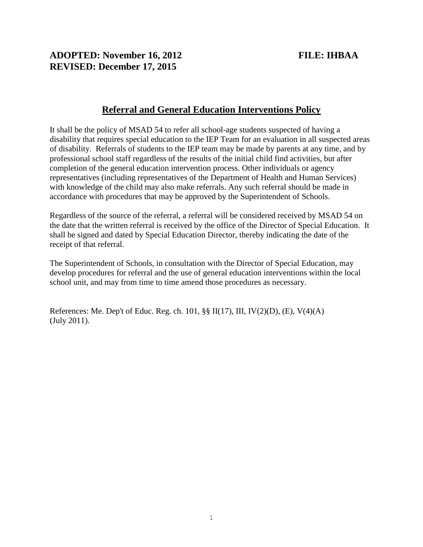# **ADOPTED: November 16, 2012 FILE: IHBAA REVISED: December 17, 2015**

## **Referral and General Education Interventions Policy**

It shall be the policy of MSAD 54 to refer all school-age students suspected of having a disability that requires special education to the IEP Team for an evaluation in all suspected areas of disability. Referrals of students to the IEP team may be made by parents at any time, and by professional school staff regardless of the results of the initial child find activities, but after completion of the general education intervention process. Other individuals or agency representatives (including representatives of the Department of Health and Human Services) with knowledge of the child may also make referrals. Any such referral should be made in accordance with procedures that may be approved by the Superintendent of Schools.

Regardless of the source of the referral, a referral will be considered received by MSAD 54 on the date that the written referral is received by the office of the Director of Special Education. It shall be signed and dated by Special Education Director, thereby indicating the date of the receipt of that referral.

The Superintendent of Schools, in consultation with the Director of Special Education, may develop procedures for referral and the use of general education interventions within the local school unit, and may from time to time amend those procedures as necessary.

References: Me. Dep't of Educ. Reg. ch. 101, §§ II(17), III, IV(2)(D), (E), V(4)(A) (July 2011).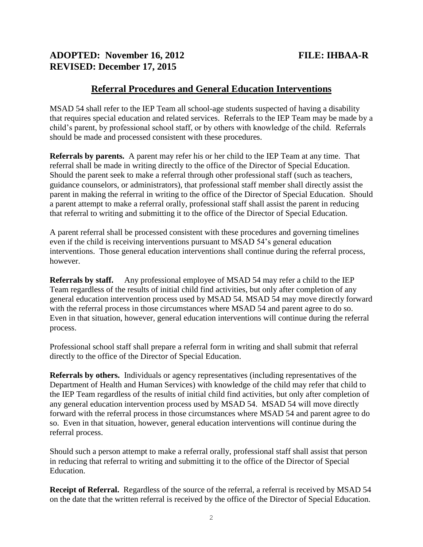## **ADOPTED: November 16, 2012 FILE: IHBAA-R REVISED: December 17, 2015**

### **Referral Procedures and General Education Interventions**

MSAD 54 shall refer to the IEP Team all school-age students suspected of having a disability that requires special education and related services. Referrals to the IEP Team may be made by a child's parent, by professional school staff, or by others with knowledge of the child. Referrals should be made and processed consistent with these procedures.

**Referrals by parents.** A parent may refer his or her child to the IEP Team at any time. That referral shall be made in writing directly to the office of the Director of Special Education. Should the parent seek to make a referral through other professional staff (such as teachers, guidance counselors, or administrators), that professional staff member shall directly assist the parent in making the referral in writing to the office of the Director of Special Education. Should a parent attempt to make a referral orally, professional staff shall assist the parent in reducing that referral to writing and submitting it to the office of the Director of Special Education.

A parent referral shall be processed consistent with these procedures and governing timelines even if the child is receiving interventions pursuant to MSAD 54's general education interventions. Those general education interventions shall continue during the referral process, however.

**Referrals by staff.** Any professional employee of MSAD 54 may refer a child to the IEP Team regardless of the results of initial child find activities, but only after completion of any general education intervention process used by MSAD 54. MSAD 54 may move directly forward with the referral process in those circumstances where MSAD 54 and parent agree to do so. Even in that situation, however, general education interventions will continue during the referral process.

Professional school staff shall prepare a referral form in writing and shall submit that referral directly to the office of the Director of Special Education.

**Referrals by others.** Individuals or agency representatives (including representatives of the Department of Health and Human Services) with knowledge of the child may refer that child to the IEP Team regardless of the results of initial child find activities, but only after completion of any general education intervention process used by MSAD 54. MSAD 54 will move directly forward with the referral process in those circumstances where MSAD 54 and parent agree to do so. Even in that situation, however, general education interventions will continue during the referral process.

Should such a person attempt to make a referral orally, professional staff shall assist that person in reducing that referral to writing and submitting it to the office of the Director of Special Education.

**Receipt of Referral.** Regardless of the source of the referral, a referral is received by MSAD 54 on the date that the written referral is received by the office of the Director of Special Education.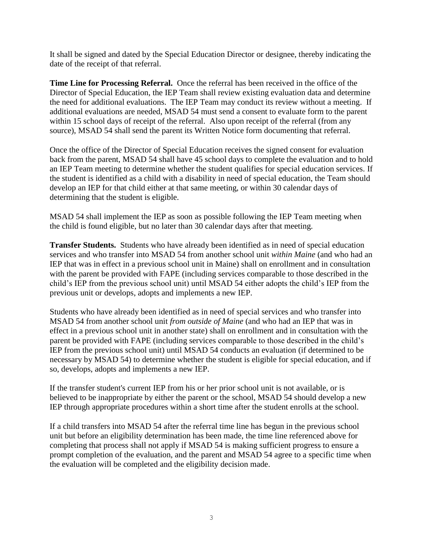It shall be signed and dated by the Special Education Director or designee, thereby indicating the date of the receipt of that referral.

**Time Line for Processing Referral.** Once the referral has been received in the office of the Director of Special Education, the IEP Team shall review existing evaluation data and determine the need for additional evaluations. The IEP Team may conduct its review without a meeting. If additional evaluations are needed, MSAD 54 must send a consent to evaluate form to the parent within 15 school days of receipt of the referral. Also upon receipt of the referral (from any source), MSAD 54 shall send the parent its Written Notice form documenting that referral.

Once the office of the Director of Special Education receives the signed consent for evaluation back from the parent, MSAD 54 shall have 45 school days to complete the evaluation and to hold an IEP Team meeting to determine whether the student qualifies for special education services. If the student is identified as a child with a disability in need of special education, the Team should develop an IEP for that child either at that same meeting, or within 30 calendar days of determining that the student is eligible.

MSAD 54 shall implement the IEP as soon as possible following the IEP Team meeting when the child is found eligible, but no later than 30 calendar days after that meeting.

**Transfer Students.** Students who have already been identified as in need of special education services and who transfer into MSAD 54 from another school unit *within Maine* (and who had an IEP that was in effect in a previous school unit in Maine) shall on enrollment and in consultation with the parent be provided with FAPE (including services comparable to those described in the child's IEP from the previous school unit) until MSAD 54 either adopts the child's IEP from the previous unit or develops, adopts and implements a new IEP.

Students who have already been identified as in need of special services and who transfer into MSAD 54 from another school unit *from outside of Maine* (and who had an IEP that was in effect in a previous school unit in another state) shall on enrollment and in consultation with the parent be provided with FAPE (including services comparable to those described in the child's IEP from the previous school unit) until MSAD 54 conducts an evaluation (if determined to be necessary by MSAD 54) to determine whether the student is eligible for special education, and if so, develops, adopts and implements a new IEP.

If the transfer student's current IEP from his or her prior school unit is not available, or is believed to be inappropriate by either the parent or the school, MSAD 54 should develop a new IEP through appropriate procedures within a short time after the student enrolls at the school.

If a child transfers into MSAD 54 after the referral time line has begun in the previous school unit but before an eligibility determination has been made, the time line referenced above for completing that process shall not apply if MSAD 54 is making sufficient progress to ensure a prompt completion of the evaluation, and the parent and MSAD 54 agree to a specific time when the evaluation will be completed and the eligibility decision made.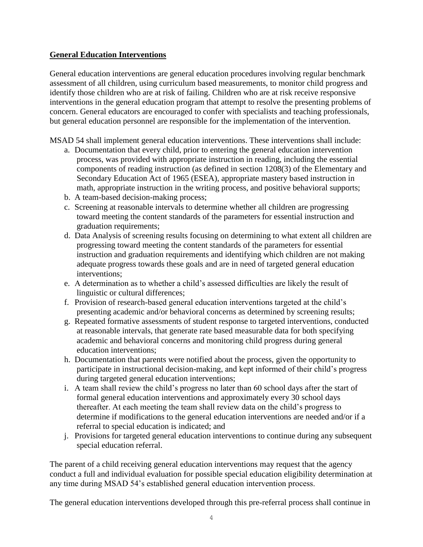### **General Education Interventions**

General education interventions are general education procedures involving regular benchmark assessment of all children, using curriculum based measurements, to monitor child progress and identify those children who are at risk of failing. Children who are at risk receive responsive interventions in the general education program that attempt to resolve the presenting problems of concern. General educators are encouraged to confer with specialists and teaching professionals, but general education personnel are responsible for the implementation of the intervention.

MSAD 54 shall implement general education interventions. These interventions shall include:

- a. Documentation that every child, prior to entering the general education intervention process, was provided with appropriate instruction in reading, including the essential components of reading instruction (as defined in section 1208(3) of the Elementary and Secondary Education Act of 1965 (ESEA), appropriate mastery based instruction in math, appropriate instruction in the writing process, and positive behavioral supports;
- b. A team-based decision-making process;
- c. Screening at reasonable intervals to determine whether all children are progressing toward meeting the content standards of the parameters for essential instruction and graduation requirements;
- d. Data Analysis of screening results focusing on determining to what extent all children are progressing toward meeting the content standards of the parameters for essential instruction and graduation requirements and identifying which children are not making adequate progress towards these goals and are in need of targeted general education interventions;
- e. A determination as to whether a child's assessed difficulties are likely the result of linguistic or cultural differences;
- f. Provision of research-based general education interventions targeted at the child's presenting academic and/or behavioral concerns as determined by screening results;
- g. Repeated formative assessments of student response to targeted interventions, conducted at reasonable intervals, that generate rate based measurable data for both specifying academic and behavioral concerns and monitoring child progress during general education interventions;
- h. Documentation that parents were notified about the process, given the opportunity to participate in instructional decision-making, and kept informed of their child's progress during targeted general education interventions;
- i. A team shall review the child's progress no later than 60 school days after the start of formal general education interventions and approximately every 30 school days thereafter. At each meeting the team shall review data on the child's progress to determine if modifications to the general education interventions are needed and/or if a referral to special education is indicated; and
- j. Provisions for targeted general education interventions to continue during any subsequent special education referral.

The parent of a child receiving general education interventions may request that the agency conduct a full and individual evaluation for possible special education eligibility determination at any time during MSAD 54's established general education intervention process.

The general education interventions developed through this pre-referral process shall continue in